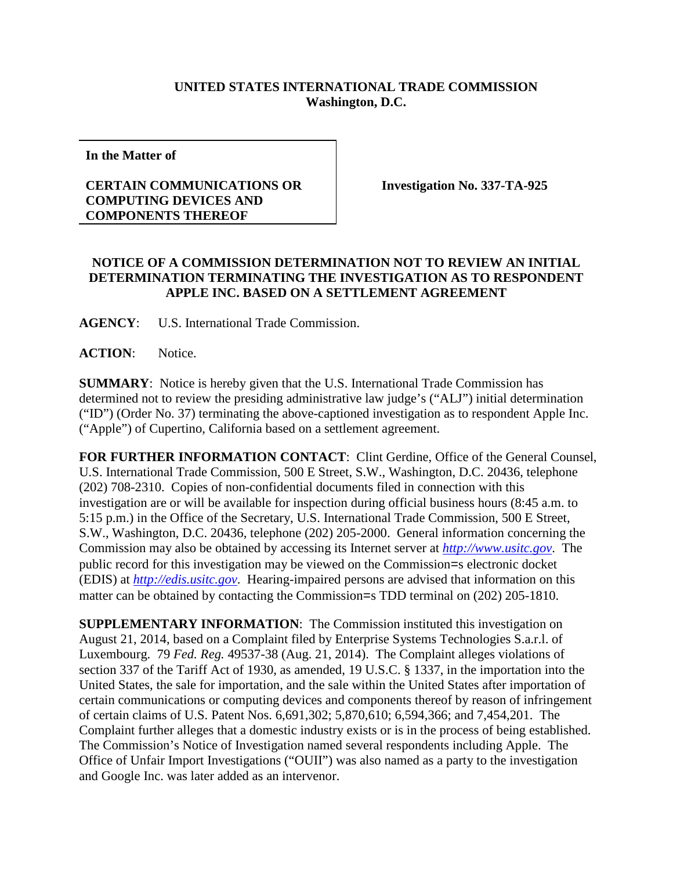## **UNITED STATES INTERNATIONAL TRADE COMMISSION Washington, D.C.**

**In the Matter of**

## **CERTAIN COMMUNICATIONS OR COMPUTING DEVICES AND COMPONENTS THEREOF**

**Investigation No. 337-TA-925**

## **NOTICE OF A COMMISSION DETERMINATION NOT TO REVIEW AN INITIAL DETERMINATION TERMINATING THE INVESTIGATION AS TO RESPONDENT APPLE INC. BASED ON A SETTLEMENT AGREEMENT**

**AGENCY**: U.S. International Trade Commission.

**ACTION**: Notice.

**SUMMARY**: Notice is hereby given that the U.S. International Trade Commission has determined not to review the presiding administrative law judge's ("ALJ") initial determination ("ID") (Order No. 37) terminating the above-captioned investigation as to respondent Apple Inc. ("Apple") of Cupertino, California based on a settlement agreement.

**FOR FURTHER INFORMATION CONTACT**: Clint Gerdine, Office of the General Counsel, U.S. International Trade Commission, 500 E Street, S.W., Washington, D.C. 20436, telephone (202) 708-2310. Copies of non-confidential documents filed in connection with this investigation are or will be available for inspection during official business hours (8:45 a.m. to 5:15 p.m.) in the Office of the Secretary, U.S. International Trade Commission, 500 E Street, S.W., Washington, D.C. 20436, telephone (202) 205-2000. General information concerning the Commission may also be obtained by accessing its Internet server at *[http://www.usitc.gov](http://www.usitc.gov/)*. The public record for this investigation may be viewed on the Commission=s electronic docket (EDIS) at *[http://edis.usitc.gov](http://edis.usitc.gov/)*. Hearing-impaired persons are advised that information on this matter can be obtained by contacting the Commission=s TDD terminal on (202) 205-1810.

**SUPPLEMENTARY INFORMATION**: The Commission instituted this investigation on August 21, 2014, based on a Complaint filed by Enterprise Systems Technologies S.a.r.l. of Luxembourg. 79 *Fed. Reg.* 49537-38 (Aug. 21, 2014). The Complaint alleges violations of section 337 of the Tariff Act of 1930, as amended, 19 U.S.C. § 1337, in the importation into the United States, the sale for importation, and the sale within the United States after importation of certain communications or computing devices and components thereof by reason of infringement of certain claims of U.S. Patent Nos. 6,691,302; 5,870,610; 6,594,366; and 7,454,201. The Complaint further alleges that a domestic industry exists or is in the process of being established. The Commission's Notice of Investigation named several respondents including Apple. The Office of Unfair Import Investigations ("OUII") was also named as a party to the investigation and Google Inc. was later added as an intervenor.